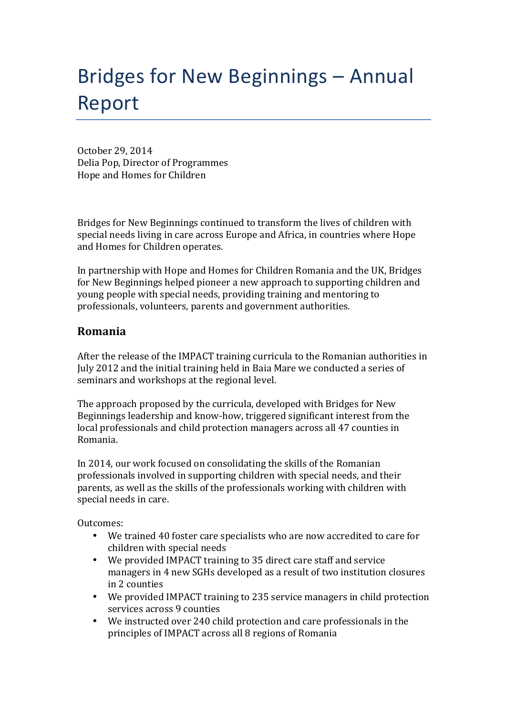## Bridges for New Beginnings – Annual Report

October 29, 2014 Delia Pop, Director of Programmes Hope and Homes for Children

Bridges for New Beginnings continued to transform the lives of children with special needs living in care across Europe and Africa, in countries where Hope and Homes for Children operates.

In partnership with Hope and Homes for Children Romania and the UK, Bridges for New Beginnings helped pioneer a new approach to supporting children and young people with special needs, providing training and mentoring to professionals, volunteers, parents and government authorities.

## **Romania**

After the release of the IMPACT training curricula to the Romanian authorities in July 2012 and the initial training held in Baia Mare we conducted a series of seminars and workshops at the regional level.

The approach proposed by the curricula, developed with Bridges for New Beginnings leadership and know-how, triggered significant interest from the local professionals and child protection managers across all 47 counties in Romania. 

In 2014, our work focused on consolidating the skills of the Romanian professionals involved in supporting children with special needs, and their parents, as well as the skills of the professionals working with children with special needs in care.

Outcomes:

- We trained 40 foster care specialists who are now accredited to care for children with special needs
- We provided IMPACT training to 35 direct care staff and service managers in 4 new SGHs developed as a result of two institution closures in 2 counties
- We provided IMPACT training to 235 service managers in child protection services across 9 counties
- We instructed over 240 child protection and care professionals in the principles of IMPACT across all 8 regions of Romania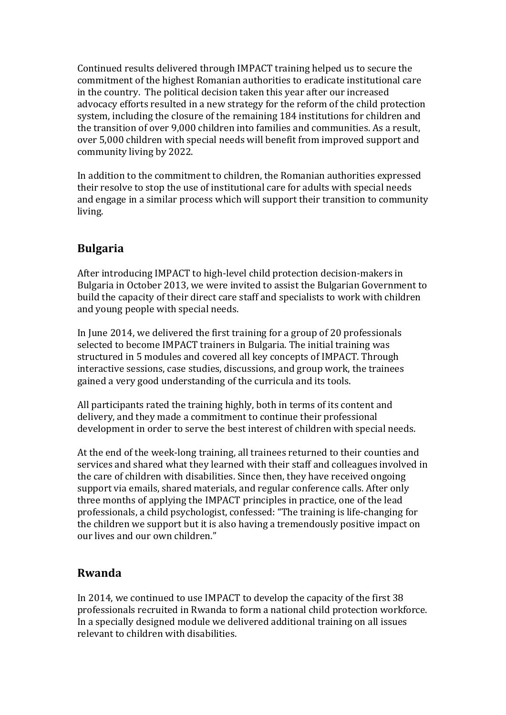Continued results delivered through IMPACT training helped us to secure the commitment of the highest Romanian authorities to eradicate institutional care in the country. The political decision taken this year after our increased advocacy efforts resulted in a new strategy for the reform of the child protection system, including the closure of the remaining 184 institutions for children and the transition of over 9,000 children into families and communities. As a result, over 5,000 children with special needs will benefit from improved support and community living by 2022.

In addition to the commitment to children, the Romanian authorities expressed their resolve to stop the use of institutional care for adults with special needs and engage in a similar process which will support their transition to community living. 

## **Bulgaria**

After introducing IMPACT to high-level child protection decision-makers in Bulgaria in October 2013, we were invited to assist the Bulgarian Government to build the capacity of their direct care staff and specialists to work with children and young people with special needs.

In June 2014, we delivered the first training for a group of 20 professionals selected to become IMPACT trainers in Bulgaria. The initial training was structured in 5 modules and covered all key concepts of IMPACT. Through interactive sessions, case studies, discussions, and group work, the trainees gained a very good understanding of the curricula and its tools.

All participants rated the training highly, both in terms of its content and delivery, and they made a commitment to continue their professional development in order to serve the best interest of children with special needs.

At the end of the week-long training, all trainees returned to their counties and services and shared what they learned with their staff and colleagues involved in the care of children with disabilities. Since then, they have received ongoing support via emails, shared materials, and regular conference calls. After only three months of applying the IMPACT principles in practice, one of the lead professionals, a child psychologist, confessed: "The training is life-changing for the children we support but it is also having a tremendously positive impact on our lives and our own children."

## **Rwanda**

In 2014, we continued to use IMPACT to develop the capacity of the first 38 professionals recruited in Rwanda to form a national child protection workforce. In a specially designed module we delivered additional training on all issues relevant to children with disabilities.